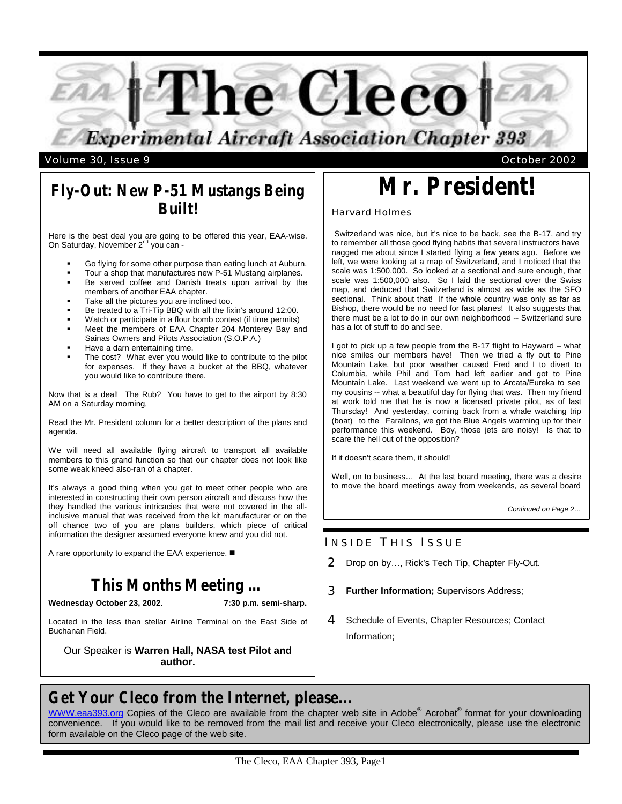

volume 30, Issue 9  $\sim$  October 2002

## **Fly-Out: New P-51 Mustangs Being Built!**

Here is the best deal you are going to be offered this year, EAA-wise. On Saturday, November 2<sup>nd</sup> you can -

- Go flying for some other purpose than eating lunch at Auburn.
- ß Tour a shop that manufactures new P-51 Mustang airplanes.
- Be served coffee and Danish treats upon arrival by the members of another EAA chapter.
- Take all the pictures you are inclined too.
- ß Be treated to a Tri-Tip BBQ with all the fixin's around 12:00.
- Watch or participate in a flour bomb contest (if time permits)
- ß Meet the members of EAA Chapter 204 Monterey Bay and Sainas Owners and Pilots Association (S.O.P.A.)
- ß Have a darn entertaining time.
- The cost? What ever you would like to contribute to the pilot for expenses. If they have a bucket at the BBQ, whatever you would like to contribute there.

Now that is a deal! The Rub? You have to get to the airport by 8:30 AM on a Saturday morning.

Read the Mr. President column for a better description of the plans and agenda.

We will need all available flying aircraft to transport all available members to this grand function so that our chapter does not look like some weak kneed also-ran of a chapter.

It's always a good thing when you get to meet other people who are interested in constructing their own person aircraft and discuss how the they handled the various intricacies that were not covered in the allinclusive manual that was received from the kit manufacturer or on the off chance two of you are plans builders, which piece of critical information the designer assumed everyone knew and you did not.

A rare opportunity to expand the EAA experience.  $\blacksquare$ 

# **This Months Meeting …**

### **Wednesday October 23, 2002**. **7:30 p.m. semi-sharp.**

Located in the less than stellar Airline Terminal on the East Side of Buchanan Field.

Our Speaker is **Warren Hall, NASA test Pilot and author.**

# **Mr. President!**

### Harvard Holmes

 Switzerland was nice, but it's nice to be back, see the B-17, and try to remember all those good flying habits that several instructors have nagged me about since I started flying a few years ago. Before we left, we were looking at a map of Switzerland, and I noticed that the scale was 1:500,000. So looked at a sectional and sure enough, that scale was 1:500,000 also. So I laid the sectional over the Swiss map, and deduced that Switzerland is almost as wide as the SFO sectional. Think about that! If the whole country was only as far as Bishop, there would be no need for fast planes! It also suggests that there must be a lot to do in our own neighborhood -- Switzerland sure has a lot of stuff to do and see.

I got to pick up a few people from the B-17 flight to Hayward – what nice smiles our members have! Then we tried a fly out to Pine Mountain Lake, but poor weather caused Fred and I to divert to Columbia, while Phil and Tom had left earlier and got to Pine Mountain Lake. Last weekend we went up to Arcata/Eureka to see my cousins -- what a beautiful day for flying that was. Then my friend at work told me that he is now a licensed private pilot, as of last Thursday! And yesterday, coming back from a whale watching trip (boat) to the Farallons, we got the Blue Angels warming up for their performance this weekend. Boy, those jets are noisy! Is that to scare the hell out of the opposition?

If it doesn't scare them, it should!

Well, on to business… At the last board meeting, there was a desire to move the board meetings away from weekends, as several board

*Continued on Page 2…*

### INSIDE THIS ISSUE

- 2 Drop on by…, Rick's Tech Tip, Chapter Fly-Out.
- 3 **Further Information;** Supervisors Address;
- 4 Schedule of Events, Chapter Resources; Contact Information;

# **Get Your Cleco from the Internet, please...**

WWW.eaa393.org Copies of the Cleco are available from the chapter web site in Adobe® Acrobat® format for your downloading convenience. If you would like to be removed from the mail list and receive your Cleco electronically, please use the electronic form available on the Cleco page of the web site.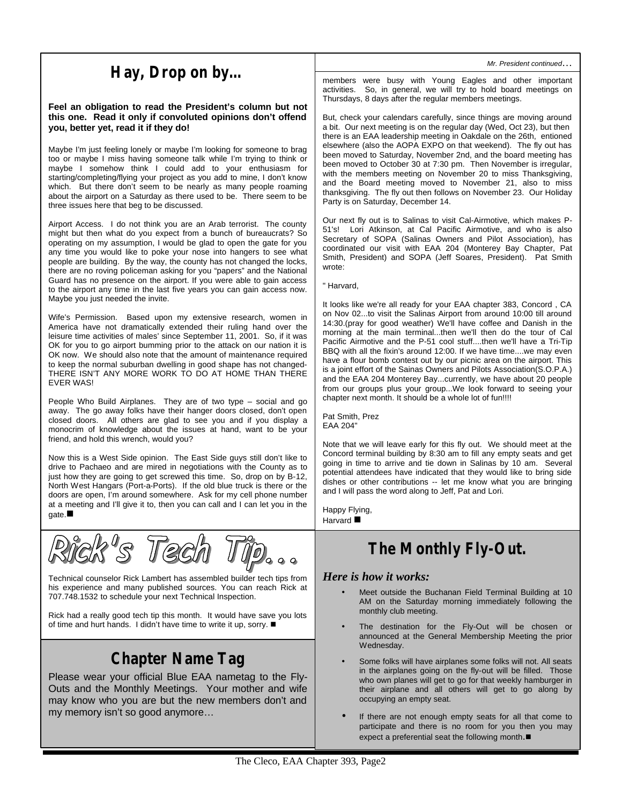# **Hay, Drop on by…**

**Feel an obligation to read the President's column but not this one. Read it only if convoluted opinions don't offend you, better yet, read it if they do!**

Maybe I'm just feeling lonely or maybe I'm looking for someone to brag too or maybe I miss having someone talk while I'm trying to think or maybe I somehow think I could add to your enthusiasm for starting/completing/flying your project as you add to mine, I don't know which. But there don't seem to be nearly as many people roaming about the airport on a Saturday as there used to be. There seem to be three issues here that beg to be discussed.

Airport Access. I do not think you are an Arab terrorist. The county might but then what do you expect from a bunch of bureaucrats? So operating on my assumption, I would be glad to open the gate for you any time you would like to poke your nose into hangers to see what people are building. By the way, the county has not changed the locks, there are no roving policeman asking for you "papers" and the National Guard has no presence on the airport. If you were able to gain access to the airport any time in the last five years you can gain access now. Maybe you just needed the invite.

Wife's Permission. Based upon my extensive research, women in America have not dramatically extended their ruling hand over the leisure time activities of males' since September 11, 2001. So, if it was OK for you to go airport bumming prior to the attack on our nation it is OK now. We should also note that the amount of maintenance required to keep the normal suburban dwelling in good shape has not changed-THERE ISN'T ANY MORE WORK TO DO AT HOME THAN THERE EVER WAS!

People Who Build Airplanes. They are of two type – social and go away. The go away folks have their hanger doors closed, don't open closed doors. All others are glad to see you and if you display a monocrim of knowledge about the issues at hand, want to be your friend, and hold this wrench, would you?

Now this is a West Side opinion. The East Side guys still don't like to drive to Pachaeo and are mired in negotiations with the County as to just how they are going to get screwed this time. So, drop on by B-12, North West Hangars (Port-a-Ports). If the old blue truck is there or the doors are open, I'm around somewhere. Ask for my cell phone number at a meeting and I'll give it to, then you can call and I can let you in the  $gate.$ 

Technical counselor Rick Lambert has assembled builder tech tips from his experience and many published sources. You can reach Rick at 707.748.1532 to schedule your next Technical Inspection.

Rick had a really good tech tip this month. It would have save you lots of time and hurt hands. I didn't have time to write it up, sorry.  $\blacksquare$ 

# **Chapter Name Tag**

Please wear your official Blue EAA nametag to the Fly-Outs and the Monthly Meetings. Your mother and wife may know who you are but the new members don't and my memory isn't so good anymore…

*Mr. President continued*…

members were busy with Young Eagles and other important activities. So, in general, we will try to hold board meetings on Thursdays, 8 days after the regular members meetings.

But, check your calendars carefully, since things are moving around a bit. Our next meeting is on the regular day (Wed, Oct 23), but then there is an EAA leadership meeting in Oakdale on the 26th, entioned elsewhere (also the AOPA EXPO on that weekend). The fly out has been moved to Saturday, November 2nd, and the board meeting has been moved to October 30 at 7:30 pm. Then November is irregular, with the members meeting on November 20 to miss Thanksgiving, and the Board meeting moved to November 21, also to miss thanksgiving. The fly out then follows on November 23. Our Holiday Party is on Saturday, December 14.

Our next fly out is to Salinas to visit Cal-Airmotive, which makes P-51's! Lori Atkinson, at Cal Pacific Airmotive, and who is also Secretary of SOPA (Salinas Owners and Pilot Association), has coordinated our visit with EAA 204 (Monterey Bay Chapter, Pat Smith, President) and SOPA (Jeff Soares, President). Pat Smith wrote:

" Harvard,

It looks like we're all ready for your EAA chapter 383, Concord , CA on Nov 02...to visit the Salinas Airport from around 10:00 till around 14:30.(pray for good weather) We'll have coffee and Danish in the morning at the main terminal...then we'll then do the tour of Cal Pacific Airmotive and the P-51 cool stuff....then we'll have a Tri-Tip BBQ with all the fixin's around 12:00. If we have time....we may even have a flour bomb contest out by our picnic area on the airport. This is a joint effort of the Sainas Owners and Pilots Association(S.O.P.A.) and the EAA 204 Monterey Bay...currently, we have about 20 people from our groups plus your group...We look forward to seeing your chapter next month. It should be a whole lot of fun!!!!

Pat Smith, Prez EAA 204"

Note that we will leave early for this fly out. We should meet at the Concord terminal building by 8:30 am to fill any empty seats and get going in time to arrive and tie down in Salinas by 10 am. Several potential attendees have indicated that they would like to bring side dishes or other contributions -- let me know what you are bringing and I will pass the word along to Jeff, Pat and Lori.

Happy Flying, Harvard  $\blacksquare$ 

# **The Monthly Fly-Out.**

### *Here is how it works:*

- Meet outside the Buchanan Field Terminal Building at 10 AM on the Saturday morning immediately following the monthly club meeting.
- The destination for the Fly-Out will be chosen or announced at the General Membership Meeting the prior Wednesday.
- Some folks will have airplanes some folks will not. All seats in the airplanes going on the fly-out will be filled. Those who own planes will get to go for that weekly hamburger in their airplane and all others will get to go along by occupying an empty seat.
- If there are not enough empty seats for all that come to participate and there is no room for you then you may expect a preferential seat the following month. $\blacksquare$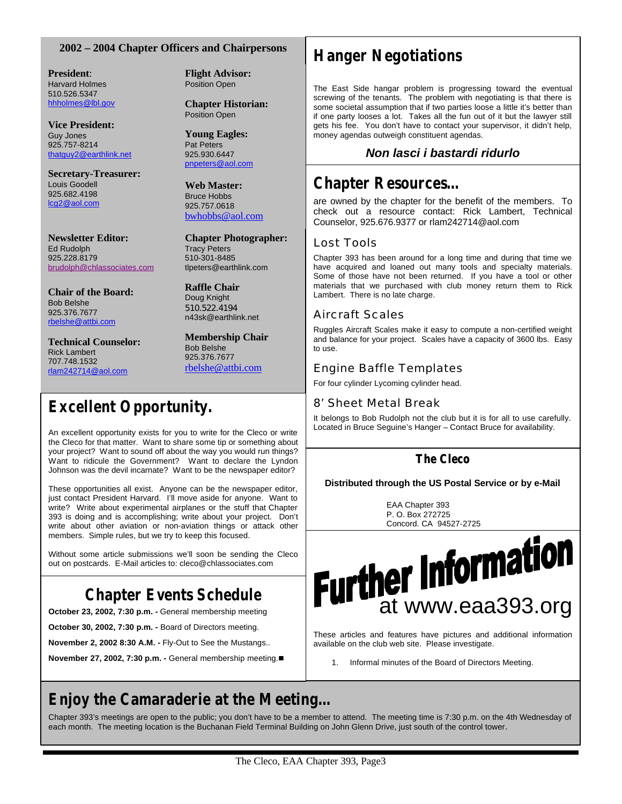### **2002 – 2004 Chapter Officers and Chairpersons**

**President**: Harvard Holmes 510.526.5347 hhholmes@lbl.gov

**Vice President:** Guy Jones 925.757-8214 thatguy2@earthlink.net

**Secretary-Treasurer:** Louis Goodell 925.682.4198 lcg2@aol.com

**Newsletter Editor:** Ed Rudolph 925.228.8179 brudolph@chlassociates.com

**Chair of the Board:** Bob Belshe 925.376.7677 rbelshe@attbi.com

**Technical Counselor:** Rick Lambert 707.748.1532 rlam242714@aol.com

**Flight Advisor:** Position Open

**Chapter Historian:** Position Open

**Young Eagles:** Pat Peters 925.930.6447 pnpeters@aol.com

**Web Master:** Bruce Hobbs 925.757.0618 bwhobbs@aol.com

**Chapter Photographer:** Tracy Peters 510-301-8485 tlpeters@earthlink.com

**Raffle Chair** Doug Knight 510.522.4194 n43sk@earthlink.net

**Membership Chair** Bob Belshe 925.376.7677 rbelshe@attbi.com

# **Excellent Opportunity.**

An excellent opportunity exists for you to write for the Cleco or write the Cleco for that matter. Want to share some tip or something about your project? Want to sound off about the way you would run things? Want to ridicule the Government? Want to declare the Lyndon Johnson was the devil incarnate? Want to be the newspaper editor?

These opportunities all exist. Anyone can be the newspaper editor, just contact President Harvard. I'll move aside for anyone. Want to write? Write about experimental airplanes or the stuff that Chapter 393 is doing and is accomplishing; write about your project. Don't write about other aviation or non-aviation things or attack other members. Simple rules, but we try to keep this focused.

Without some article submissions we'll soon be sending the Cleco out on postcards. E-Mail articles to: cleco@chlassociates.com

# **Chapter Events Schedule**

**October 23, 2002, 7:30 p.m. -** General membership meeting

**October 30, 2002, 7:30 p.m. -** Board of Directors meeting.

**November 2, 2002 8:30 A.M. -** Fly-Out to See the Mustangs..

**November 27, 2002, 7:30 p.m. - General membership meeting.■** 

# **Hanger Negotiations**

The East Side hangar problem is progressing toward the eventual screwing of the tenants. The problem with negotiating is that there is some societal assumption that if two parties loose a little it's better than if one party looses a lot. Takes all the fun out of it but the lawyer still gets his fee. You don't have to contact your supervisor, it didn't help, money agendas outweigh constituent agendas.

### *Non lasci i bastardi ridurlo*

# **Chapter Resources…**

are owned by the chapter for the benefit of the members. To check out a resource contact: Rick Lambert, Technical Counselor, 925.676.9377 or rlam242714@aol.com

### Lost Tools

Chapter 393 has been around for a long time and during that time we have acquired and loaned out many tools and specialty materials. Some of those have not been returned. If you have a tool or other materials that we purchased with club money return them to Rick Lambert. There is no late charge.

### Aircraft Scales

Ruggles Aircraft Scales make it easy to compute a non-certified weight and balance for your project. Scales have a capacity of 3600 lbs. Easy to use.

### Engine Baffle Templates

For four cylinder Lycoming cylinder head.

### 8' Sheet Metal Break

It belongs to Bob Rudolph not the club but it is for all to use carefully. Located in Bruce Seguine's Hanger – Contact Bruce for availability.

### **The Cleco**

**Distributed through the US Postal Service or by e-Mail**

EAA Chapter 393 P. O. Box 272725 Concord, CA 94527-2725



These articles and features have pictures and additional information available on the club web site. Please investigate.

1. Informal minutes of the Board of Directors Meeting.

# **Enjoy the Camaraderie at the Meeting…**

Chapter 393's meetings are open to the public; you don't have to be a member to attend. The meeting time is 7:30 p.m. on the 4th Wednesday of each month. The meeting location is the Buchanan Field Terminal Building on John Glenn Drive, just south of the control tower.